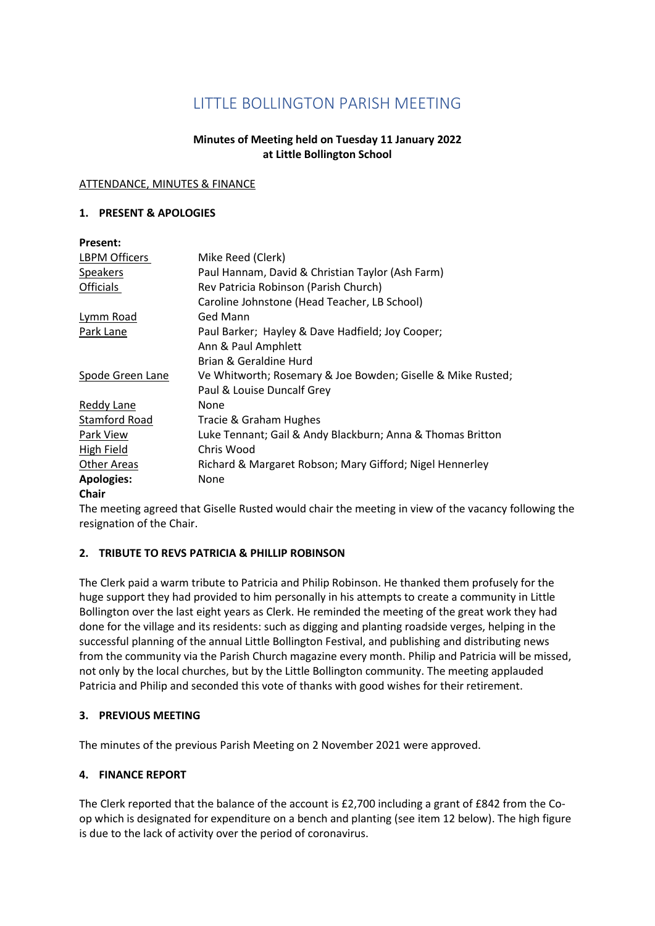# LITTLE BOLLINGTON PARISH MEETING

## **Minutes of Meeting held on Tuesday 11 January 2022 at Little Bollington School**

#### ATTENDANCE, MINUTES & FINANCE

#### **1. PRESENT & APOLOGIES**

| <b>Present:</b>      |                                                             |
|----------------------|-------------------------------------------------------------|
| <b>LBPM Officers</b> | Mike Reed (Clerk)                                           |
| <b>Speakers</b>      | Paul Hannam, David & Christian Taylor (Ash Farm)            |
| Officials            | Rev Patricia Robinson (Parish Church)                       |
|                      | Caroline Johnstone (Head Teacher, LB School)                |
| Lymm Road            | Ged Mann                                                    |
| Park Lane            | Paul Barker; Hayley & Dave Hadfield; Joy Cooper;            |
|                      | Ann & Paul Amphlett                                         |
|                      | Brian & Geraldine Hurd                                      |
| Spode Green Lane     | Ve Whitworth; Rosemary & Joe Bowden; Giselle & Mike Rusted; |
|                      | Paul & Louise Duncalf Grey                                  |
| Reddy Lane           | None                                                        |
| <b>Stamford Road</b> | Tracie & Graham Hughes                                      |
| Park View            | Luke Tennant; Gail & Andy Blackburn; Anna & Thomas Britton  |
| High Field           | Chris Wood                                                  |
| <b>Other Areas</b>   | Richard & Margaret Robson; Mary Gifford; Nigel Hennerley    |
| <b>Apologies:</b>    | None                                                        |
| $\sim$ $\sim$ $\sim$ |                                                             |

## **Chair**

The meeting agreed that Giselle Rusted would chair the meeting in view of the vacancy following the resignation of the Chair.

## **2. TRIBUTE TO REVS PATRICIA & PHILLIP ROBINSON**

The Clerk paid a warm tribute to Patricia and Philip Robinson. He thanked them profusely for the huge support they had provided to him personally in his attempts to create a community in Little Bollington over the last eight years as Clerk. He reminded the meeting of the great work they had done for the village and its residents: such as digging and planting roadside verges, helping in the successful planning of the annual Little Bollington Festival, and publishing and distributing news from the community via the Parish Church magazine every month. Philip and Patricia will be missed, not only by the local churches, but by the Little Bollington community. The meeting applauded Patricia and Philip and seconded this vote of thanks with good wishes for their retirement.

## **3. PREVIOUS MEETING**

The minutes of the previous Parish Meeting on 2 November 2021 were approved.

## **4. FINANCE REPORT**

The Clerk reported that the balance of the account is £2,700 including a grant of £842 from the Coop which is designated for expenditure on a bench and planting (see item 12 below). The high figure is due to the lack of activity over the period of coronavirus.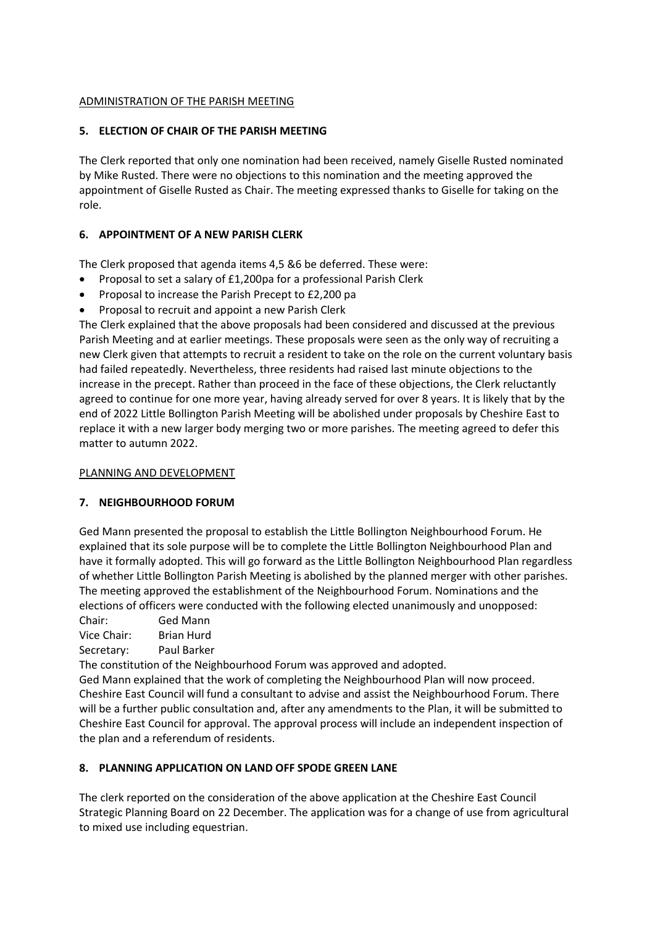## ADMINISTRATION OF THE PARISH MEETING

## **5. ELECTION OF CHAIR OF THE PARISH MEETING**

The Clerk reported that only one nomination had been received, namely Giselle Rusted nominated by Mike Rusted. There were no objections to this nomination and the meeting approved the appointment of Giselle Rusted as Chair. The meeting expressed thanks to Giselle for taking on the role.

## **6. APPOINTMENT OF A NEW PARISH CLERK**

The Clerk proposed that agenda items 4,5 &6 be deferred. These were:

- Proposal to set a salary of £1,200pa for a professional Parish Clerk
- Proposal to increase the Parish Precept to £2,200 pa
- Proposal to recruit and appoint a new Parish Clerk

The Clerk explained that the above proposals had been considered and discussed at the previous Parish Meeting and at earlier meetings. These proposals were seen as the only way of recruiting a new Clerk given that attempts to recruit a resident to take on the role on the current voluntary basis had failed repeatedly. Nevertheless, three residents had raised last minute objections to the increase in the precept. Rather than proceed in the face of these objections, the Clerk reluctantly agreed to continue for one more year, having already served for over 8 years. It is likely that by the end of 2022 Little Bollington Parish Meeting will be abolished under proposals by Cheshire East to replace it with a new larger body merging two or more parishes. The meeting agreed to defer this matter to autumn 2022.

## PLANNING AND DEVELOPMENT

## **7. NEIGHBOURHOOD FORUM**

Ged Mann presented the proposal to establish the Little Bollington Neighbourhood Forum. He explained that its sole purpose will be to complete the Little Bollington Neighbourhood Plan and have it formally adopted. This will go forward as the Little Bollington Neighbourhood Plan regardless of whether Little Bollington Parish Meeting is abolished by the planned merger with other parishes. The meeting approved the establishment of the Neighbourhood Forum. Nominations and the elections of officers were conducted with the following elected unanimously and unopposed:

Chair: Ged Mann

Vice Chair: Brian Hurd

Secretary: Paul Barker

The constitution of the Neighbourhood Forum was approved and adopted.

Ged Mann explained that the work of completing the Neighbourhood Plan will now proceed. Cheshire East Council will fund a consultant to advise and assist the Neighbourhood Forum. There will be a further public consultation and, after any amendments to the Plan, it will be submitted to Cheshire East Council for approval. The approval process will include an independent inspection of the plan and a referendum of residents.

# **8. PLANNING APPLICATION ON LAND OFF SPODE GREEN LANE**

The clerk reported on the consideration of the above application at the Cheshire East Council Strategic Planning Board on 22 December. The application was for a change of use from agricultural to mixed use including equestrian.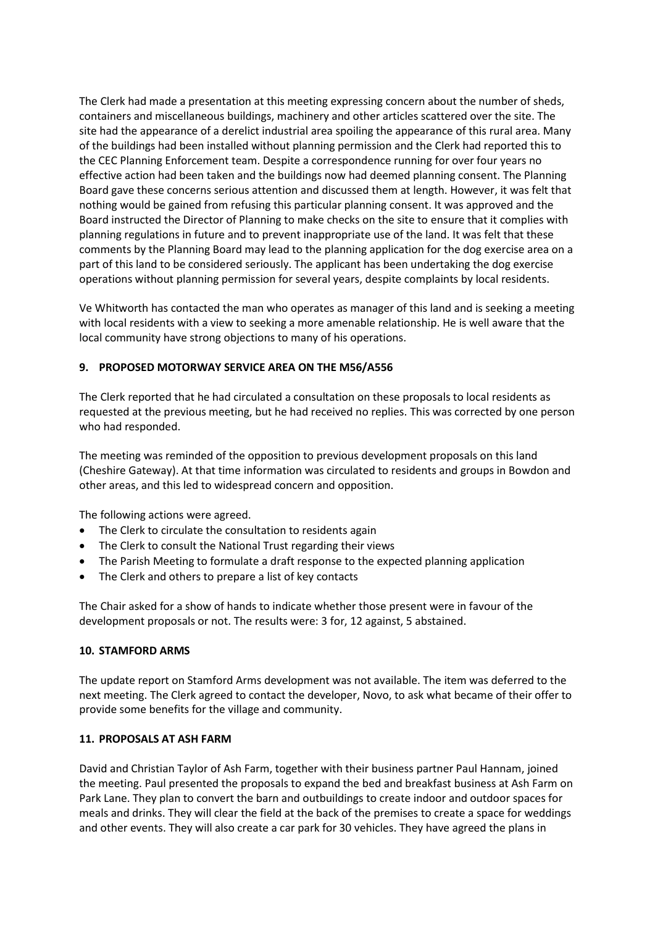The Clerk had made a presentation at this meeting expressing concern about the number of sheds, containers and miscellaneous buildings, machinery and other articles scattered over the site. The site had the appearance of a derelict industrial area spoiling the appearance of this rural area. Many of the buildings had been installed without planning permission and the Clerk had reported this to the CEC Planning Enforcement team. Despite a correspondence running for over four years no effective action had been taken and the buildings now had deemed planning consent. The Planning Board gave these concerns serious attention and discussed them at length. However, it was felt that nothing would be gained from refusing this particular planning consent. It was approved and the Board instructed the Director of Planning to make checks on the site to ensure that it complies with planning regulations in future and to prevent inappropriate use of the land. It was felt that these comments by the Planning Board may lead to the planning application for the dog exercise area on a part of this land to be considered seriously. The applicant has been undertaking the dog exercise operations without planning permission for several years, despite complaints by local residents.

Ve Whitworth has contacted the man who operates as manager of this land and is seeking a meeting with local residents with a view to seeking a more amenable relationship. He is well aware that the local community have strong objections to many of his operations.

#### **9. PROPOSED MOTORWAY SERVICE AREA ON THE M56/A556**

The Clerk reported that he had circulated a consultation on these proposals to local residents as requested at the previous meeting, but he had received no replies. This was corrected by one person who had responded.

The meeting was reminded of the opposition to previous development proposals on this land (Cheshire Gateway). At that time information was circulated to residents and groups in Bowdon and other areas, and this led to widespread concern and opposition.

The following actions were agreed.

- The Clerk to circulate the consultation to residents again
- The Clerk to consult the National Trust regarding their views
- The Parish Meeting to formulate a draft response to the expected planning application
- The Clerk and others to prepare a list of key contacts

The Chair asked for a show of hands to indicate whether those present were in favour of the development proposals or not. The results were: 3 for, 12 against, 5 abstained.

#### **10. STAMFORD ARMS**

The update report on Stamford Arms development was not available. The item was deferred to the next meeting. The Clerk agreed to contact the developer, Novo, to ask what became of their offer to provide some benefits for the village and community.

#### **11. PROPOSALS AT ASH FARM**

David and Christian Taylor of Ash Farm, together with their business partner Paul Hannam, joined the meeting. Paul presented the proposals to expand the bed and breakfast business at Ash Farm on Park Lane. They plan to convert the barn and outbuildings to create indoor and outdoor spaces for meals and drinks. They will clear the field at the back of the premises to create a space for weddings and other events. They will also create a car park for 30 vehicles. They have agreed the plans in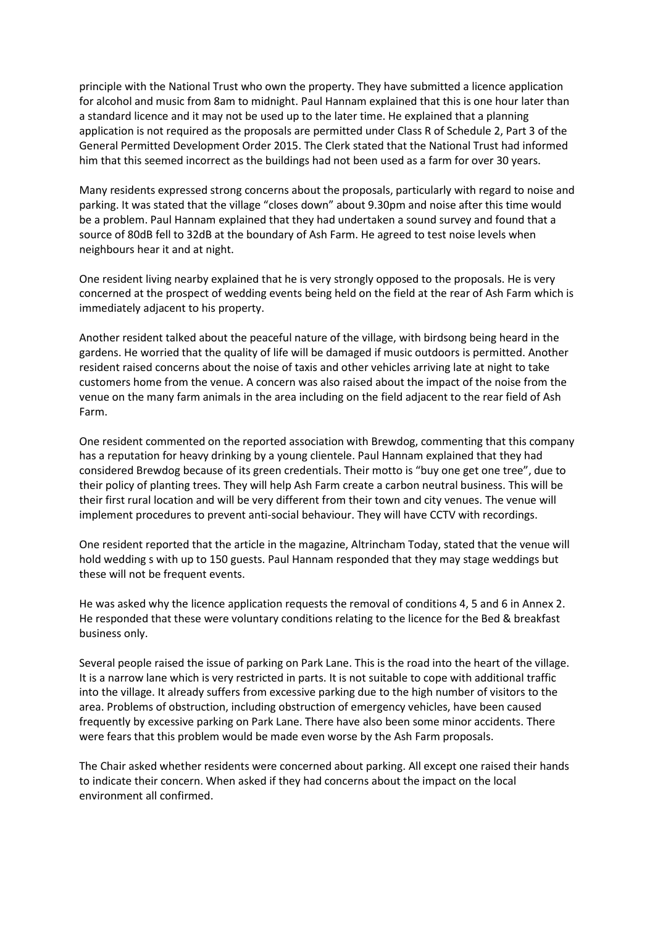principle with the National Trust who own the property. They have submitted a licence application for alcohol and music from 8am to midnight. Paul Hannam explained that this is one hour later than a standard licence and it may not be used up to the later time. He explained that a planning application is not required as the proposals are permitted under Class R of Schedule 2, Part 3 of the General Permitted Development Order 2015. The Clerk stated that the National Trust had informed him that this seemed incorrect as the buildings had not been used as a farm for over 30 years.

Many residents expressed strong concerns about the proposals, particularly with regard to noise and parking. It was stated that the village "closes down" about 9.30pm and noise after this time would be a problem. Paul Hannam explained that they had undertaken a sound survey and found that a source of 80dB fell to 32dB at the boundary of Ash Farm. He agreed to test noise levels when neighbours hear it and at night.

One resident living nearby explained that he is very strongly opposed to the proposals. He is very concerned at the prospect of wedding events being held on the field at the rear of Ash Farm which is immediately adjacent to his property.

Another resident talked about the peaceful nature of the village, with birdsong being heard in the gardens. He worried that the quality of life will be damaged if music outdoors is permitted. Another resident raised concerns about the noise of taxis and other vehicles arriving late at night to take customers home from the venue. A concern was also raised about the impact of the noise from the venue on the many farm animals in the area including on the field adjacent to the rear field of Ash Farm.

One resident commented on the reported association with Brewdog, commenting that this company has a reputation for heavy drinking by a young clientele. Paul Hannam explained that they had considered Brewdog because of its green credentials. Their motto is "buy one get one tree", due to their policy of planting trees. They will help Ash Farm create a carbon neutral business. This will be their first rural location and will be very different from their town and city venues. The venue will implement procedures to prevent anti-social behaviour. They will have CCTV with recordings.

One resident reported that the article in the magazine, Altrincham Today, stated that the venue will hold wedding s with up to 150 guests. Paul Hannam responded that they may stage weddings but these will not be frequent events.

He was asked why the licence application requests the removal of conditions 4, 5 and 6 in Annex 2. He responded that these were voluntary conditions relating to the licence for the Bed & breakfast business only.

Several people raised the issue of parking on Park Lane. This is the road into the heart of the village. It is a narrow lane which is very restricted in parts. It is not suitable to cope with additional traffic into the village. It already suffers from excessive parking due to the high number of visitors to the area. Problems of obstruction, including obstruction of emergency vehicles, have been caused frequently by excessive parking on Park Lane. There have also been some minor accidents. There were fears that this problem would be made even worse by the Ash Farm proposals.

The Chair asked whether residents were concerned about parking. All except one raised their hands to indicate their concern. When asked if they had concerns about the impact on the local environment all confirmed.